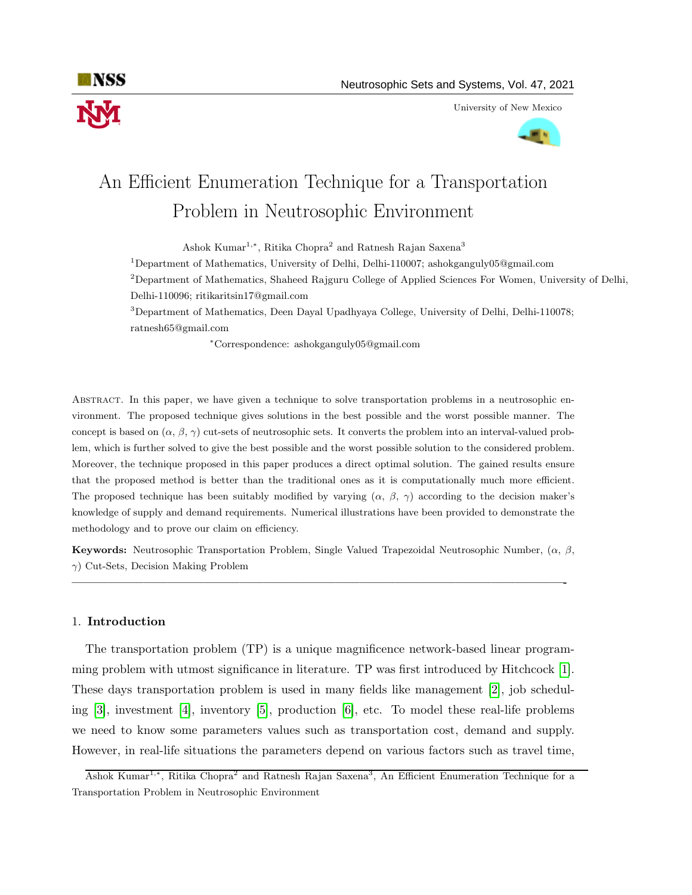

University of New Mexico



# An Efficient Enumeration Technique for a Transportation Problem in Neutrosophic Environment

Ashok Kumar<sup>1,\*</sup>, Ritika Chopra<sup>2</sup> and Ratnesh Rajan Saxena<sup>3</sup>

<sup>1</sup>Department of Mathematics, University of Delhi, Delhi-110007; ashokganguly05@gmail.com

<sup>2</sup>Department of Mathematics, Shaheed Rajguru College of Applied Sciences For Women, University of Delhi, Delhi-110096; ritikaritsin17@gmail.com

<sup>3</sup>Department of Mathematics, Deen Dayal Upadhyaya College, University of Delhi, Delhi-110078; ratnesh65@gmail.com

<sup>∗</sup>Correspondence: ashokganguly05@gmail.com

Abstract. In this paper, we have given a technique to solve transportation problems in a neutrosophic environment. The proposed technique gives solutions in the best possible and the worst possible manner. The concept is based on  $(\alpha, \beta, \gamma)$  cut-sets of neutrosophic sets. It converts the problem into an interval-valued problem, which is further solved to give the best possible and the worst possible solution to the considered problem. Moreover, the technique proposed in this paper produces a direct optimal solution. The gained results ensure that the proposed method is better than the traditional ones as it is computationally much more efficient. The proposed technique has been suitably modified by varying  $(\alpha, \beta, \gamma)$  according to the decision maker's knowledge of supply and demand requirements. Numerical illustrations have been provided to demonstrate the methodology and to prove our claim on efficiency.

Keywords: Neutrosophic Transportation Problem, Single Valued Trapezoidal Neutrosophic Number, (α, β,  $\gamma$ ) Cut-Sets, Decision Making Problem

—————————————————————————————————————————-

## 1. Introduction

The transportation problem (TP) is a unique magnificence network-based linear programming problem with utmost significance in literature. TP was first introduced by Hitchcock [\[1\]](#page-10-0). These days transportation problem is used in many fields like management [\[2\]](#page-10-1), job scheduling [\[3\]](#page-10-2), investment [\[4\]](#page-10-3), inventory [\[5\]](#page-10-4), production [\[6\]](#page-10-5), etc. To model these real-life problems we need to know some parameters values such as transportation cost, demand and supply. However, in real-life situations the parameters depend on various factors such as travel time,

Ashok Kumar<sup>1,∗</sup>, Ritika Chopra<sup>2</sup> and Ratnesh Rajan Saxena<sup>3</sup>, An Efficient Enumeration Technique for a Transportation Problem in Neutrosophic Environment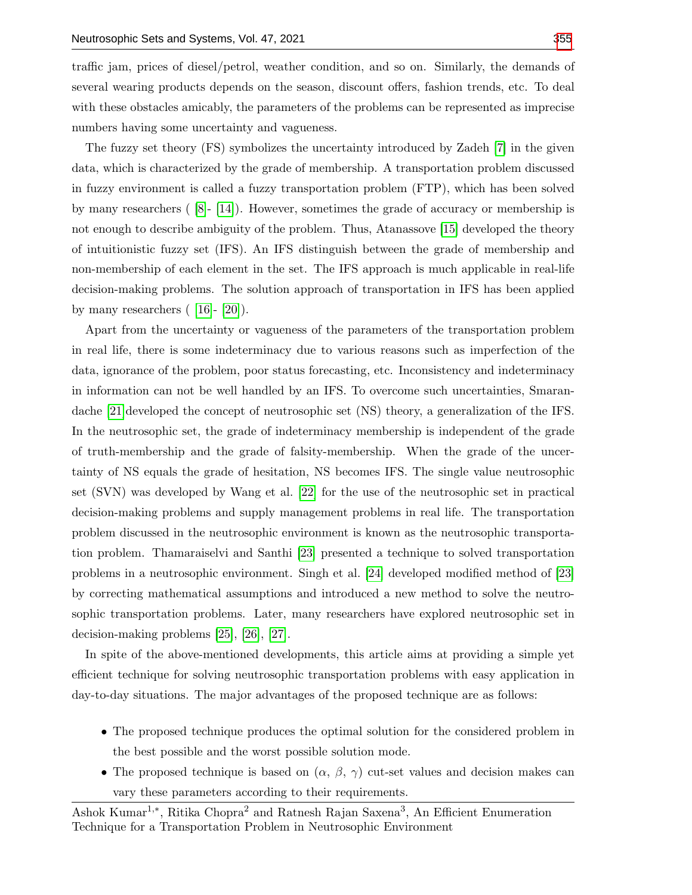traffic jam, prices of diesel/petrol, weather condition, and so on. Similarly, the demands of several wearing products depends on the season, discount offers, fashion trends, etc. To deal with these obstacles amicably, the parameters of the problems can be represented as imprecise numbers having some uncertainty and vagueness.

The fuzzy set theory (FS) symbolizes the uncertainty introduced by Zadeh [\[7\]](#page-10-6) in the given data, which is characterized by the grade of membership. A transportation problem discussed in fuzzy environment is called a fuzzy transportation problem (FTP), which has been solved by many researchers  $([8]-[14])$  $([8]-[14])$  $([8]-[14])$  $([8]-[14])$  $([8]-[14])$ . However, sometimes the grade of accuracy or membership is not enough to describe ambiguity of the problem. Thus, Atanassove [\[15\]](#page-11-2) developed the theory of intuitionistic fuzzy set (IFS). An IFS distinguish between the grade of membership and non-membership of each element in the set. The IFS approach is much applicable in real-life decision-making problems. The solution approach of transportation in IFS has been applied by many researchers  $(16]- [20]$  $(16]- [20]$ .

Apart from the uncertainty or vagueness of the parameters of the transportation problem in real life, there is some indeterminacy due to various reasons such as imperfection of the data, ignorance of the problem, poor status forecasting, etc. Inconsistency and indeterminacy in information can not be well handled by an IFS. To overcome such uncertainties, Smarandache [\[21\]](#page-11-5)developed the concept of neutrosophic set (NS) theory, a generalization of the IFS. In the neutrosophic set, the grade of indeterminacy membership is independent of the grade of truth-membership and the grade of falsity-membership. When the grade of the uncertainty of NS equals the grade of hesitation, NS becomes IFS. The single value neutrosophic set (SVN) was developed by Wang et al. [\[22\]](#page-11-6) for the use of the neutrosophic set in practical decision-making problems and supply management problems in real life. The transportation problem discussed in the neutrosophic environment is known as the neutrosophic transportation problem. Thamaraiselvi and Santhi [\[23\]](#page-11-7) presented a technique to solved transportation problems in a neutrosophic environment. Singh et al. [\[24\]](#page-11-8) developed modified method of [\[23\]](#page-11-7) by correcting mathematical assumptions and introduced a new method to solve the neutrosophic transportation problems. Later, many researchers have explored neutrosophic set in decision-making problems [\[25\]](#page-11-9), [\[26\]](#page-11-10), [\[27\]](#page-11-11).

In spite of the above-mentioned developments, this article aims at providing a simple yet efficient technique for solving neutrosophic transportation problems with easy application in day-to-day situations. The major advantages of the proposed technique are as follows:

- The proposed technique produces the optimal solution for the considered problem in the best possible and the worst possible solution mode.
- The proposed technique is based on  $(\alpha, \beta, \gamma)$  cut-set values and decision makes can vary these parameters according to their requirements.

Ashok Kumar<sup>1,∗</sup>, Ritika Chopra<sup>2</sup> and Ratnesh Rajan Saxena<sup>3</sup>, An Efficient Enumeration Technique for a Transportation Problem in Neutrosophic Environment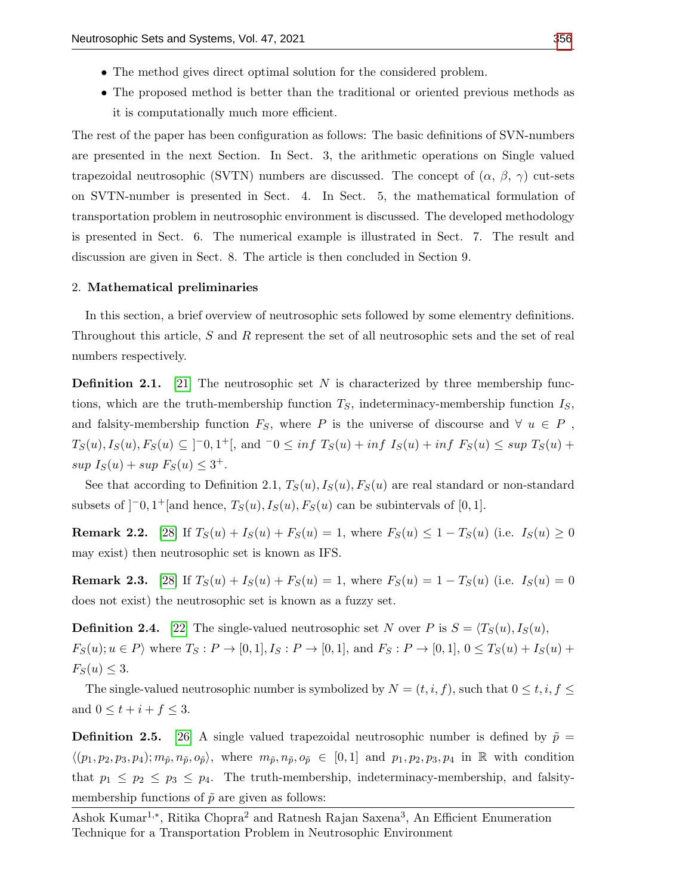- The method gives direct optimal solution for the considered problem.
- The proposed method is better than the traditional or oriented previous methods as it is computationally much more efficient.

The rest of the paper has been configuration as follows: The basic definitions of SVN-numbers are presented in the next Section. In Sect. 3, the arithmetic operations on Single valued trapezoidal neutrosophic (SVTN) numbers are discussed. The concept of  $(\alpha, \beta, \gamma)$  cut-sets on SVTN-number is presented in Sect. 4. In Sect. 5, the mathematical formulation of transportation problem in neutrosophic environment is discussed. The developed methodology is presented in Sect. 6. The numerical example is illustrated in Sect. 7. The result and discussion are given in Sect. 8. The article is then concluded in Section 9.

#### 2. Mathematical preliminaries

In this section, a brief overview of neutrosophic sets followed by some elementry definitions. Throughout this article, S and R represent the set of all neutrosophic sets and the set of real numbers respectively.

**Definition 2.1.** [\[21\]](#page-11-5) The neutrosophic set N is characterized by three membership functions, which are the truth-membership function  $T<sub>S</sub>$ , indeterminacy-membership function  $I<sub>S</sub>$ , and falsity-membership function  $F_S$ , where P is the universe of discourse and  $\forall u \in P$ ,  $T_S(u)$ ,  $I_S(u)$ ,  $F_S(u) \subseteq ]-0,1^+[$ , and  $-0 \leq inf T_S(u) + inf I_S(u) + inf F_S(u) \leq sup T_S(u) +$  $\sup I_S(u) + \sup F_S(u) \leq 3^+.$ 

See that according to Definition 2.1,  $T_S(u)$ ,  $I_S(u)$ ,  $F_S(u)$  are real standard or non-standard subsets of  $]$ <sup>-</sup>0, 1<sup>+</sup>[and hence,  $T_S(u)$ ,  $I_S(u)$ ,  $F_S(u)$  can be subintervals of [0, 1].

**Remark 2.2.** [\[28\]](#page-11-12) If  $T_S(u) + I_S(u) + F_S(u) = 1$ , where  $F_S(u) \leq 1 - T_S(u)$  (i.e.  $I_S(u) \geq 0$ may exist) then neutrosophic set is known as IFS.

**Remark 2.3.** [\[28\]](#page-11-12) If  $T_S(u) + I_S(u) + F_S(u) = 1$ , where  $F_S(u) = 1 - T_S(u)$  (i.e.  $I_S(u) = 0$ does not exist) the neutrosophic set is known as a fuzzy set.

**Definition 2.4.** [\[22\]](#page-11-6) The single-valued neutrosophic set N over P is  $S = \langle T_S(u), I_S(u),$  $F_S(u); u \in P$  where  $T_S: P \to [0, 1], I_S: P \to [0, 1],$  and  $F_S: P \to [0, 1], 0 \le T_S(u) + I_S(u) + I_S(u)$  $F_S(u) \leq 3.$ 

The single-valued neutrosophic number is symbolized by  $N = (t, i, f)$ , such that  $0 \le t, i, f \le$ and  $0 \leq t + i + f \leq 3$ .

**Definition 2.5.** [\[26\]](#page-11-10) A single valued trapezoidal neutrosophic number is defined by  $\tilde{p}$  =  $\langle (p_1, p_2, p_3, p_4); m_{\tilde{p}}, n_{\tilde{p}}, o_{\tilde{p}} \rangle$ , where  $m_{\tilde{p}}, n_{\tilde{p}}, o_{\tilde{p}} \in [0,1]$  and  $p_1, p_2, p_3, p_4$  in R with condition that  $p_1 \leq p_2 \leq p_3 \leq p_4$ . The truth-membership, indeterminacy-membership, and falsitymembership functions of  $\tilde{p}$  are given as follows:

Ashok Kumar<sup>1,∗</sup>, Ritika Chopra<sup>2</sup> and Ratnesh Rajan Saxena<sup>3</sup>, An Efficient Enumeration Technique for a Transportation Problem in Neutrosophic Environment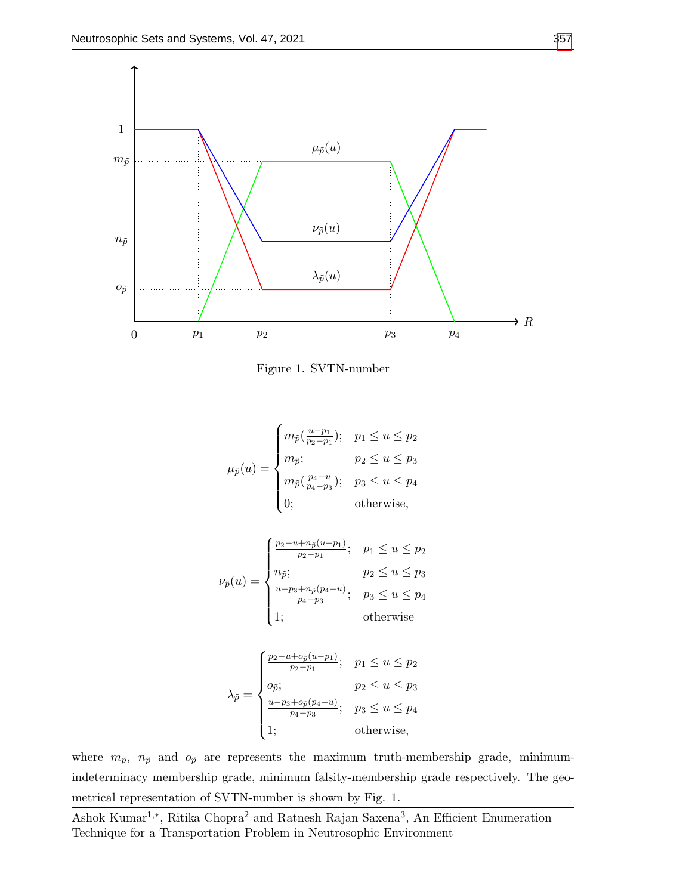

Figure 1. SVTN-number

$$
\mu_{\tilde{p}}(u) = \begin{cases}\nm_{\tilde{p}}(\frac{u-p_1}{p_2 - p_1}); & p_1 \le u \le p_2 \\
m_{\tilde{p}}; & p_2 \le u \le p_3 \\
m_{\tilde{p}}(\frac{p_4 - u}{p_4 - p_3}); & p_3 \le u \le p_4 \\
0; & \text{otherwise,} \n\end{cases}
$$

$$
\nu_{\tilde{p}}(u) = \begin{cases}\n\frac{p_2 - u + n_{\tilde{p}}(u - p_1)}{p_2 - p_1}; & p_1 \le u \le p_2 \\
n_{\tilde{p}}; & p_2 \le u \le p_3 \\
\frac{u - p_3 + n_{\tilde{p}}(p_4 - u)}{p_4 - p_3}; & p_3 \le u \le p_4 \\
1; & \text{otherwise}\n\end{cases}
$$

$$
\lambda_{\tilde{p}} = \begin{cases} \frac{p_2 - u + o_{\tilde{p}}(u - p_1)}{p_2 - p_1}; & p_1 \le u \le p_2\\ o_{\tilde{p}}; & p_2 \le u \le p_3\\ \frac{u - p_3 + o_{\tilde{p}}(p_4 - u)}{p_4 - p_3}; & p_3 \le u \le p_4\\ 1; & \text{otherwise}, \end{cases}
$$

where  $m_{\tilde{p}}, n_{\tilde{p}}$  and  $o_{\tilde{p}}$  are represents the maximum truth-membership grade, minimumindeterminacy membership grade, minimum falsity-membership grade respectively. The geometrical representation of SVTN-number is shown by Fig. 1.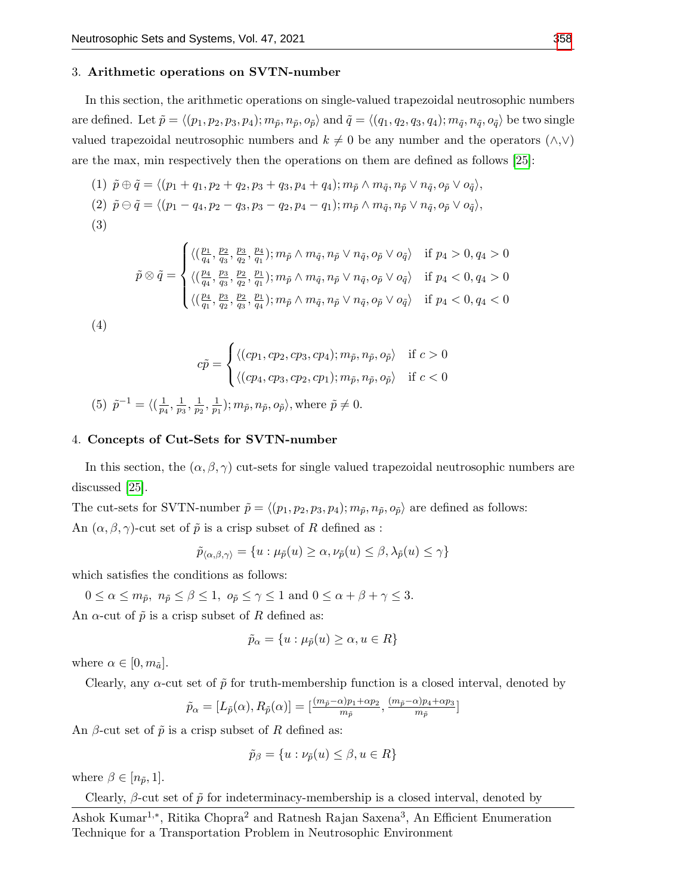#### 3. Arithmetic operations on SVTN-number

In this section, the arithmetic operations on single-valued trapezoidal neutrosophic numbers are defined. Let  $\tilde{p} = \langle (p_1, p_2, p_3, p_4); m_{\tilde{p}}, n_{\tilde{p}}, o_{\tilde{p}} \rangle$  and  $\tilde{q} = \langle (q_1, q_2, q_3, q_4); m_{\tilde{q}}, n_{\tilde{q}}, o_{\tilde{q}} \rangle$  be two single valued trapezoidal neutrosophic numbers and  $k \neq 0$  be any number and the operators  $(\wedge, \vee)$ are the max, min respectively then the operations on them are defined as follows [\[25\]](#page-11-9):

(1) 
$$
\tilde{p} \oplus \tilde{q} = \langle (p_1 + q_1, p_2 + q_2, p_3 + q_3, p_4 + q_4); m_{\tilde{p}} \wedge m_{\tilde{q}}, n_{\tilde{p}} \vee n_{\tilde{q}}, o_{\tilde{p}} \vee o_{\tilde{q}} \rangle
$$
,  
\n(2)  $\tilde{p} \ominus \tilde{q} = \langle (p_1 - q_4, p_2 - q_3, p_3 - q_2, p_4 - q_1); m_{\tilde{p}} \wedge m_{\tilde{q}}, n_{\tilde{p}} \vee n_{\tilde{q}}, o_{\tilde{p}} \vee o_{\tilde{q}} \rangle$ ,  
\n(3)

$$
\tilde{p} \otimes \tilde{q} = \begin{cases}\n\langle (\frac{p_1}{q_4}, \frac{p_2}{q_3}, \frac{p_3}{q_2}, \frac{p_4}{q_1}); m_{\tilde{p}} \wedge m_{\tilde{q}}, n_{\tilde{p}} \vee n_{\tilde{q}}, o_{\tilde{p}} \vee o_{\tilde{q}} \rangle & \text{if } p_4 > 0, q_4 > 0 \\
\langle (\frac{p_4}{q_4}, \frac{p_3}{q_3}, \frac{p_2}{q_2}, \frac{p_1}{q_1}); m_{\tilde{p}} \wedge m_{\tilde{q}}, n_{\tilde{p}} \vee n_{\tilde{q}}, o_{\tilde{p}} \vee o_{\tilde{q}} \rangle & \text{if } p_4 < 0, q_4 > 0 \\
\langle (\frac{p_4}{q_1}, \frac{p_3}{q_2}, \frac{p_2}{q_3}, \frac{p_1}{q_4}); m_{\tilde{p}} \wedge m_{\tilde{q}}, n_{\tilde{p}} \vee n_{\tilde{q}}, o_{\tilde{p}} \vee o_{\tilde{q}} \rangle & \text{if } p_4 < 0, q_4 < 0\n\end{cases}
$$

$$
(4)\\
$$

$$
c\tilde{p} = \begin{cases} \langle (cp_1, cp_2, cp_3, cp_4); m_{\tilde{p}}, n_{\tilde{p}}, o_{\tilde{p}} \rangle & \text{if } c > 0 \\ \langle (cp_4, cp_3, cp_2, cp_1); m_{\tilde{p}}, n_{\tilde{p}}, o_{\tilde{p}} \rangle & \text{if } c < 0 \end{cases}
$$

(5) 
$$
\tilde{p}^{-1} = \langle (\frac{1}{p_4}, \frac{1}{p_3}, \frac{1}{p_2}, \frac{1}{p_1}); m_{\tilde{p}}, n_{\tilde{p}}, o_{\tilde{p}} \rangle
$$
, where  $\tilde{p} \neq 0$ .

#### 4. Concepts of Cut-Sets for SVTN-number

In this section, the  $(\alpha, \beta, \gamma)$  cut-sets for single valued trapezoidal neutrosophic numbers are discussed [\[25\]](#page-11-9).

The cut-sets for SVTN-number  $\tilde{p} = \langle (p_1, p_2, p_3, p_4); m_{\tilde{p}}, n_{\tilde{p}}, o_{\tilde{p}} \rangle$  are defined as follows: An  $(\alpha, \beta, \gamma)$ -cut set of  $\tilde{p}$  is a crisp subset of R defined as :

$$
\tilde{p}_{\langle \alpha, \beta, \gamma \rangle} = \{ u : \mu_{\tilde{p}}(u) \ge \alpha, \nu_{\tilde{p}}(u) \le \beta, \lambda_{\tilde{p}}(u) \le \gamma \}
$$

which satisfies the conditions as follows:

 $0 \leq \alpha \leq m_{\tilde{p}}, n_{\tilde{p}} \leq \beta \leq 1, o_{\tilde{p}} \leq \gamma \leq 1$  and  $0 \leq \alpha + \beta + \gamma \leq 3$ . An  $\alpha$ -cut of  $\tilde{p}$  is a crisp subset of R defined as:

$$
\tilde{p}_{\alpha} = \{ u : \mu_{\tilde{p}}(u) \ge \alpha, u \in R \}
$$

where  $\alpha \in [0, m_{\tilde{a}}]$ .

Clearly, any  $\alpha$ -cut set of  $\tilde{p}$  for truth-membership function is a closed interval, denoted by

$$
\tilde{p}_{\alpha} = [L_{\tilde{p}}(\alpha), R_{\tilde{p}}(\alpha)] = [\frac{(m_{\tilde{p}} - \alpha)p_1 + \alpha p_2}{m_{\tilde{p}}}, \frac{(m_{\tilde{p}} - \alpha)p_4 + \alpha p_3}{m_{\tilde{p}}}]
$$

An  $\beta$ -cut set of  $\tilde{p}$  is a crisp subset of R defined as:

$$
\tilde{p}_{\beta} = \{u : \nu_{\tilde{p}}(u) \le \beta, u \in R\}
$$

where  $\beta \in [n_{\tilde{p}}, 1]$ .

Clearly,  $\beta$ -cut set of  $\tilde{p}$  for indeterminacy-membership is a closed interval, denoted by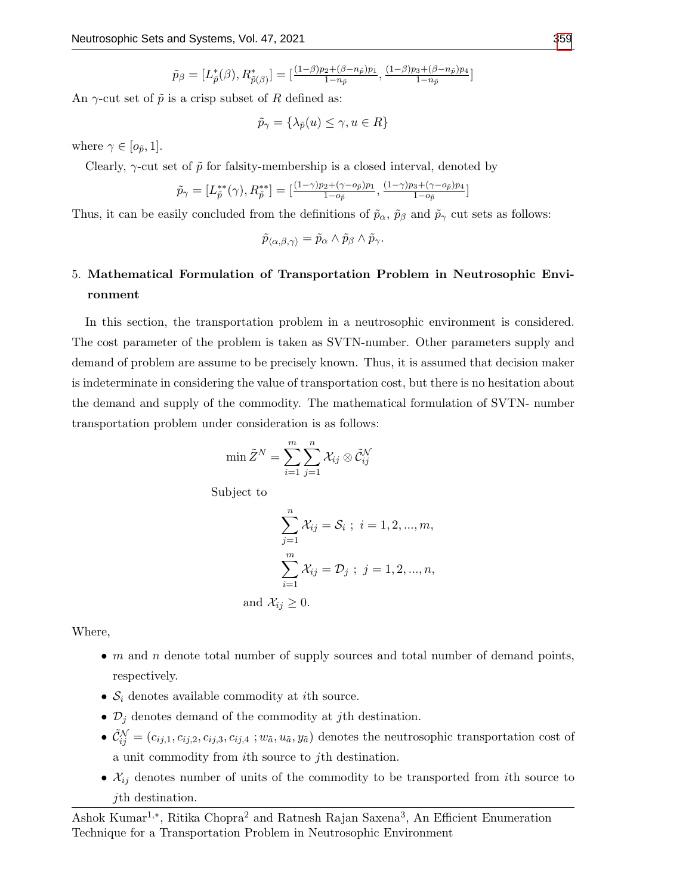$$
\tilde{p}_{\beta}=[L_{\tilde{p}}^{*}(\beta),R_{\tilde{p}(\beta)}^{*}]=[\tfrac{(1-\beta)p_{2}+(\beta-n_{\tilde{p}}) p_{1}}{1-n_{\tilde{p}}},\tfrac{(1-\beta)p_{3}+(\beta-n_{\tilde{p}}) p_{4}}{1-n_{\tilde{p}}}]
$$

An  $\gamma$ -cut set of  $\tilde{p}$  is a crisp subset of R defined as:

$$
\tilde{p}_{\gamma} = \{\lambda_{\tilde{p}}(u) \le \gamma, u \in R\}
$$

where  $\gamma \in [o_{\tilde{p}}, 1]$ .

Clearly,  $\gamma$ -cut set of  $\tilde{p}$  for falsity-membership is a closed interval, denoted by

$$
\tilde{p}_{\gamma} = [L_{\tilde{p}}^{**}(\gamma), R_{\tilde{p}}^{**}] = [\frac{(1-\gamma)p_2 + (\gamma - o_{\tilde{p}})p_1}{1 - o_{\tilde{p}}}, \frac{(1-\gamma)p_3 + (\gamma - o_{\tilde{p}})p_4}{1 - o_{\tilde{p}}}]
$$

Thus, it can be easily concluded from the definitions of  $\tilde{p}_{\alpha}$ ,  $\tilde{p}_{\beta}$  and  $\tilde{p}_{\gamma}$  cut sets as follows:

$$
\tilde{p}_{\langle\alpha,\beta,\gamma\rangle}=\tilde{p}_{\alpha}\wedge\tilde{p}_{\beta}\wedge\tilde{p}_{\gamma}.
$$

# 5. Mathematical Formulation of Transportation Problem in Neutrosophic Environment

In this section, the transportation problem in a neutrosophic environment is considered. The cost parameter of the problem is taken as SVTN-number. Other parameters supply and demand of problem are assume to be precisely known. Thus, it is assumed that decision maker is indeterminate in considering the value of transportation cost, but there is no hesitation about the demand and supply of the commodity. The mathematical formulation of SVTN- number transportation problem under consideration is as follows:

$$
\min \tilde{Z}^N = \sum_{i=1}^m \sum_{j=1}^n \mathcal{X}_{ij} \otimes \tilde{\mathcal{C}}_{ij}^{\mathcal{N}}
$$

Subject to

$$
\sum_{j=1}^{n} \mathcal{X}_{ij} = \mathcal{S}_i \; ; \; i = 1, 2, ..., m,
$$

$$
\sum_{i=1}^{m} \mathcal{X}_{ij} = \mathcal{D}_j \; ; \; j = 1, 2, ..., n,
$$
and  $\mathcal{X}_{ij} \ge 0$ .

Where,

- $m$  and  $n$  denote total number of supply sources and total number of demand points, respectively.
- $S_i$  denotes available commodity at *i*th source.
- $\mathcal{D}_j$  denotes demand of the commodity at *j*th destination.
- $\tilde{C}_{ij}^{\mathcal{N}} = (c_{ij,1}, c_{ij,2}, c_{ij,3}, c_{ij,4} ; w_{\tilde{a}}, u_{\tilde{a}}, y_{\tilde{a}})$  denotes the neutrosophic transportation cost of a unit commodity from ith source to jth destination.
- $\mathcal{X}_{ij}$  denotes number of units of the commodity to be transported from *i*th source to jth destination.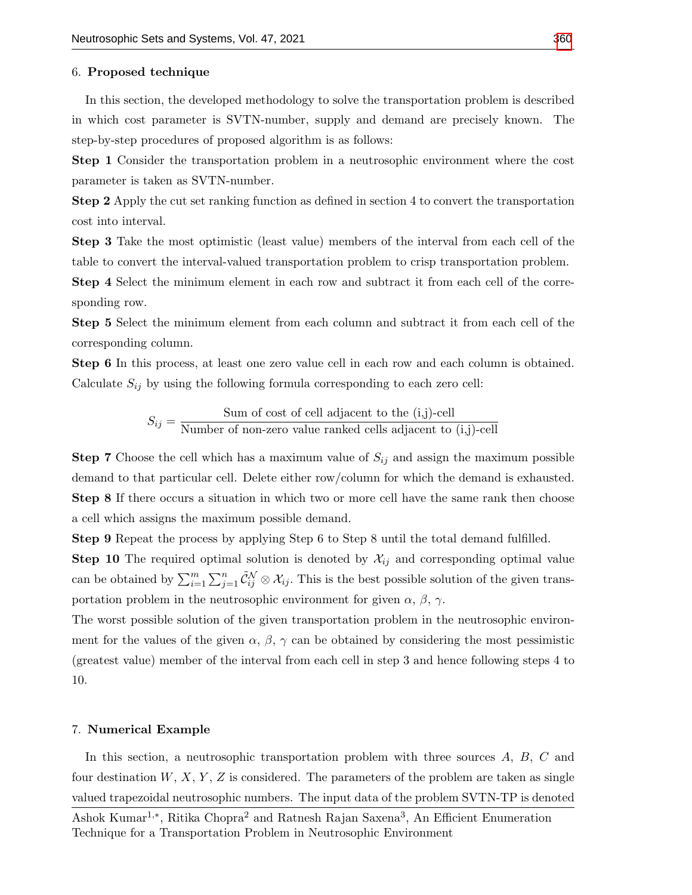#### 6. Proposed technique

In this section, the developed methodology to solve the transportation problem is described in which cost parameter is SVTN-number, supply and demand are precisely known. The step-by-step procedures of proposed algorithm is as follows:

Step 1 Consider the transportation problem in a neutrosophic environment where the cost parameter is taken as SVTN-number.

Step 2 Apply the cut set ranking function as defined in section 4 to convert the transportation cost into interval.

Step 3 Take the most optimistic (least value) members of the interval from each cell of the table to convert the interval-valued transportation problem to crisp transportation problem.

Step 4 Select the minimum element in each row and subtract it from each cell of the corresponding row.

Step 5 Select the minimum element from each column and subtract it from each cell of the corresponding column.

Step 6 In this process, at least one zero value cell in each row and each column is obtained. Calculate  $S_{ij}$  by using the following formula corresponding to each zero cell:

> $S_{ij} = \frac{\text{Sum of cost of cell adjacent to the (i,j)-cell}}{\text{Number of new even sub-angled cells, distinct to the (i,j)-cell}}$ Number of non-zero value ranked cells adjacent to (i,j)-cell

**Step 7** Choose the cell which has a maximum value of  $S_{ij}$  and assign the maximum possible demand to that particular cell. Delete either row/column for which the demand is exhausted. Step 8 If there occurs a situation in which two or more cell have the same rank then choose a cell which assigns the maximum possible demand.

Step 9 Repeat the process by applying Step 6 to Step 8 until the total demand fulfilled.

**Step 10** The required optimal solution is denoted by  $\mathcal{X}_{ij}$  and corresponding optimal value can be obtained by  $\sum_{i=1}^m \sum_{j=1}^n \tilde{C}_{ij}^N \otimes X_{ij}$ . This is the best possible solution of the given transportation problem in the neutrosophic environment for given  $\alpha$ ,  $\beta$ ,  $\gamma$ .

The worst possible solution of the given transportation problem in the neutrosophic environment for the values of the given  $\alpha$ ,  $\beta$ ,  $\gamma$  can be obtained by considering the most pessimistic (greatest value) member of the interval from each cell in step 3 and hence following steps 4 to 10.

#### 7. Numerical Example

In this section, a neutrosophic transportation problem with three sources A, B, C and four destination  $W, X, Y, Z$  is considered. The parameters of the problem are taken as single valued trapezoidal neutrosophic numbers. The input data of the problem SVTN-TP is denoted

Ashok Kumar<sup>1,∗</sup>, Ritika Chopra<sup>2</sup> and Ratnesh Rajan Saxena<sup>3</sup>, An Efficient Enumeration Technique for a Transportation Problem in Neutrosophic Environment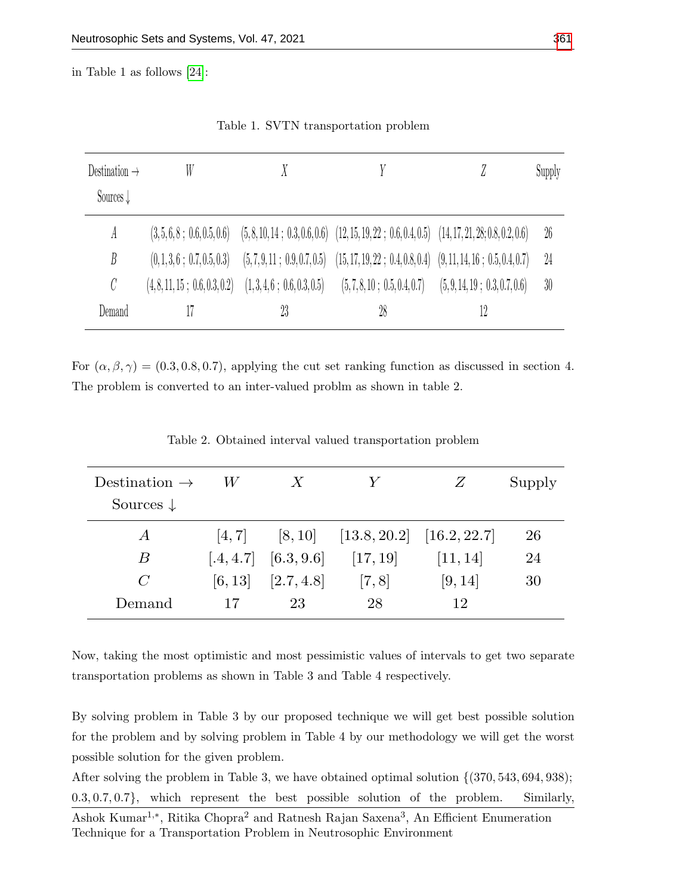in Table 1 as follows [\[24\]](#page-11-8):

| Destination $\rightarrow$ | W                             |                              |                                                                                                     |                               | Supply |
|---------------------------|-------------------------------|------------------------------|-----------------------------------------------------------------------------------------------------|-------------------------------|--------|
| Sources $\downarrow$      |                               |                              |                                                                                                     |                               |        |
| A                         | (3,5,6,8; 0.6,0.5,0.6)        |                              | $(5, 8, 10, 14; 0.3, 0.6, 0.6)$ $(12, 15, 19, 22; 0.6, 0.4, 0.5)$ $(14, 17, 21, 28; 0.8, 0.2, 0.6)$ |                               | 26     |
| B                         | (0, 1, 3, 6; 0.7, 0.5, 0.3)   | (5, 7, 9, 11; 0.9, 0.7, 0.5) | $(15, 17, 19, 22; 0.4, 0.8, 0.4)$ $(9, 11, 14, 16; 0.5, 0.4, 0.7)$                                  |                               | 24     |
| C                         | (4, 8, 11, 15; 0.6, 0.3, 0.2) | (1,3,4,6; 0.6,0.3,0.5)       | (5,7,8,10; 0.5,0.4,0.7)                                                                             | (5, 9, 14, 19; 0.3, 0.7, 0.6) | 30     |
| Demand                    |                               | 23                           | 28                                                                                                  | 12                            |        |

Table 1. SVTN transportation problem

For  $(\alpha, \beta, \gamma) = (0.3, 0.8, 0.7)$ , applying the cut set ranking function as discussed in section 4. The problem is converted to an inter-valued problm as shown in table 2.

| Destination $\rightarrow$ | W.     | $\boldsymbol{X}$         | Y                                       | Z        | Supply |
|---------------------------|--------|--------------------------|-----------------------------------------|----------|--------|
| Sources $\downarrow$      |        |                          |                                         |          |        |
| $\overline{A}$            | [4, 7] |                          | $[8, 10]$ $[13.8, 20.2]$ $[16.2, 22.7]$ |          | 26     |
| В                         |        | $[.4, 4.7]$ $[6.3, 9.6]$ | [17, 19]                                | [11, 14] | 24     |
| $\mathcal{C}$             |        | $[6, 13]$ $[2.7, 4.8]$   | [7, 8]                                  | [9, 14]  | 30     |
| Demand                    | 17     | 23                       | 28                                      | 12       |        |

Table 2. Obtained interval valued transportation problem

Now, taking the most optimistic and most pessimistic values of intervals to get two separate transportation problems as shown in Table 3 and Table 4 respectively.

By solving problem in Table 3 by our proposed technique we will get best possible solution for the problem and by solving problem in Table 4 by our methodology we will get the worst possible solution for the given problem.

After solving the problem in Table 3, we have obtained optimal solution  $\{(370, 543, 694, 938)\}$ ; 0.3, 0.7, 0.7}, which represent the best possible solution of the problem. Similarly,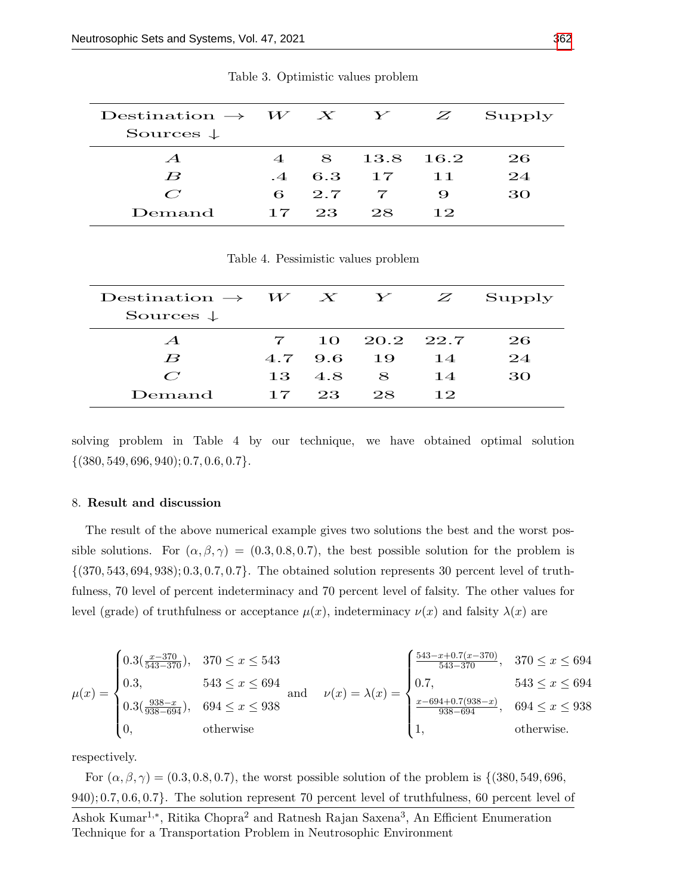| Destination $\rightarrow$ $W$ X Y<br>Sources $\downarrow$ |                               |              |                 | Z       | Supply |
|-----------------------------------------------------------|-------------------------------|--------------|-----------------|---------|--------|
| $\mathcal{A}$                                             | $\overline{4}$                |              | 8 13.8          | $-16.2$ | 26.    |
| $\boldsymbol{B}$                                          |                               | $-4$ 6.3     | $\overline{17}$ | 11      | 24     |
| $\mathcal{C}^{\prime}$                                    |                               | $6\quad 2.7$ |                 | 9       | 30     |
| Demand                                                    | $\overline{1}$ $\overline{7}$ | 23           | 28              | 12      |        |

Table 3. Optimistic values problem

Table 4. Pessimistic values problem

| $\text{Destination} \rightarrow W \quad X \quad Y \quad Z$<br>Sources $\downarrow$ |              |         |              |    | Supply |
|------------------------------------------------------------------------------------|--------------|---------|--------------|----|--------|
| $\mathcal{A}$                                                                      | $\mathbf{7}$ |         | 10 20.2 22.7 |    | 26     |
| $\boldsymbol{B}$                                                                   |              | 4.7 9.6 | $-19$        | 14 | 24     |
| $\mathcal{C}^{\prime}$                                                             |              | 13 4.8  | 8            | 14 | 30     |
| Demand                                                                             | 17           | 23.     | 28           | 12 |        |

solving problem in Table 4 by our technique, we have obtained optimal solution  $\{(380, 549, 696, 940); 0.7, 0.6, 0.7\}.$ 

#### 8. Result and discussion

The result of the above numerical example gives two solutions the best and the worst possible solutions. For  $(\alpha, \beta, \gamma) = (0.3, 0.8, 0.7)$ , the best possible solution for the problem is  $\{(370, 543, 694, 938); 0.3, 0.7, 0.7\}.$  The obtained solution represents 30 percent level of truthfulness, 70 level of percent indeterminacy and 70 percent level of falsity. The other values for level (grade) of truthfulness or acceptance  $\mu(x)$ , indeterminacy  $\nu(x)$  and falsity  $\lambda(x)$  are

$$
\mu(x) = \begin{cases}\n0.3\left(\frac{x-370}{543-370}\right), & 370 \le x \le 543 \\
0.3, & 543 \le x \le 694 \\
0.3\left(\frac{938-x}{938-694}\right), & 694 \le x \le 938 \\
0, & \text{otherwise}\n\end{cases} \text{ and } \quad\nu(x) = \lambda(x) = \begin{cases}\n\frac{543-x+0.7(x-370)}{543-370}, & 370 \le x \le 694 \\
0.7, & 543 \le x \le 694 \\
\frac{x-694+0.7(938-x)}{938-694}, & 694 \le x \le 938 \\
1, & \text{otherwise.}\n\end{cases}
$$

respectively.

For  $(\alpha, \beta, \gamma) = (0.3, 0.8, 0.7)$ , the worst possible solution of the problem is  $\{(380, 549, 696,$ 940); 0.7, 0.6, 0.7}. The solution represent 70 percent level of truthfulness, 60 percent level of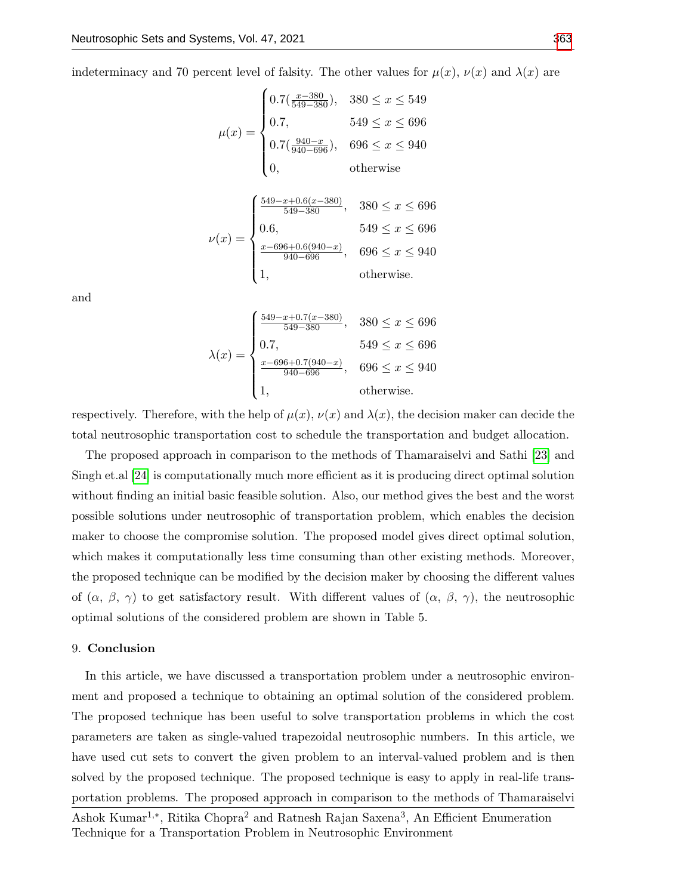indeterminacy and 70 percent level of falsity. The other values for  $\mu(x)$ ,  $\nu(x)$  and  $\lambda(x)$  are

$$
\mu(x) = \begin{cases}\n0.7(\frac{x-380}{549-380}), & 380 \le x \le 549 \\
0.7, & 549 \le x \le 696 \\
0.7(\frac{940-x}{940-696}), & 696 \le x \le 940 \\
0, & \text{otherwise}\n\end{cases}
$$
\n
$$
\nu(x) = \begin{cases}\n\frac{549-x+0.6(x-380)}{549-380}, & 380 \le x \le 696 \\
0.6, & 549 \le x \le 696 \\
\frac{x-696+0.6(940-x)}{940-696}, & 696 \le x \le 940 \\
1, & \text{otherwise.}\n\end{cases}
$$

and

$$
\lambda(x) = \begin{cases}\n\frac{549 - x + 0.7(x - 380)}{549 - 380}, & 380 \le x \le 696 \\
0.7, & 549 \le x \le 696 \\
\frac{x - 696 + 0.7(940 - x)}{940 - 696}, & 696 \le x \le 940 \\
1, & \text{otherwise.} \n\end{cases}
$$

respectively. Therefore, with the help of  $\mu(x)$ ,  $\nu(x)$  and  $\lambda(x)$ , the decision maker can decide the total neutrosophic transportation cost to schedule the transportation and budget allocation.

The proposed approach in comparison to the methods of Thamaraiselvi and Sathi [\[23\]](#page-11-7) and Singh et.al [\[24\]](#page-11-8) is computationally much more efficient as it is producing direct optimal solution without finding an initial basic feasible solution. Also, our method gives the best and the worst possible solutions under neutrosophic of transportation problem, which enables the decision maker to choose the compromise solution. The proposed model gives direct optimal solution, which makes it computationally less time consuming than other existing methods. Moreover, the proposed technique can be modified by the decision maker by choosing the different values of  $(\alpha, \beta, \gamma)$  to get satisfactory result. With different values of  $(\alpha, \beta, \gamma)$ , the neutrosophic optimal solutions of the considered problem are shown in Table 5.

## 9. Conclusion

In this article, we have discussed a transportation problem under a neutrosophic environment and proposed a technique to obtaining an optimal solution of the considered problem. The proposed technique has been useful to solve transportation problems in which the cost parameters are taken as single-valued trapezoidal neutrosophic numbers. In this article, we have used cut sets to convert the given problem to an interval-valued problem and is then solved by the proposed technique. The proposed technique is easy to apply in real-life transportation problems. The proposed approach in comparison to the methods of Thamaraiselvi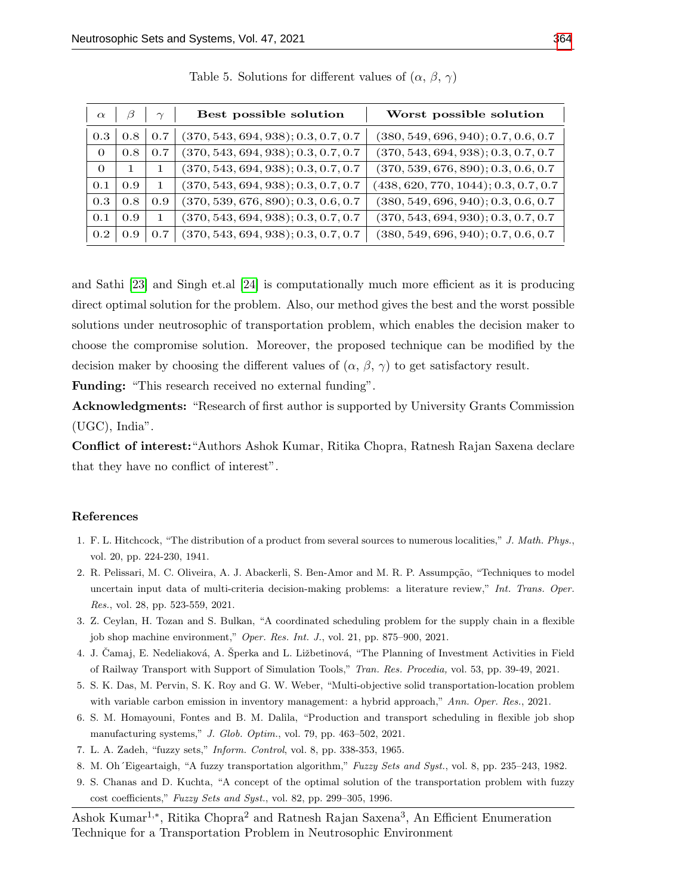| $\alpha$ | β   | $\gamma$     | Best possible solution              | Worst possible solution              |
|----------|-----|--------------|-------------------------------------|--------------------------------------|
| 0.3      | 0.8 | 0.7          | (370, 543, 694, 938); 0.3, 0.7, 0.7 | (380, 549, 696, 940); 0.7, 0.6, 0.7  |
| $\Omega$ | 0.8 | 0.7          | (370, 543, 694, 938); 0.3, 0.7, 0.7 | (370, 543, 694, 938); 0.3, 0.7, 0.7  |
| $\Omega$ | 1.  |              | (370, 543, 694, 938); 0.3, 0.7, 0.7 | (370, 539, 676, 890); 0.3, 0.6, 0.7  |
| 0.1      | 0.9 | $\mathbf{1}$ | (370, 543, 694, 938); 0.3, 0.7, 0.7 | (438, 620, 770, 1044); 0.3, 0.7, 0.7 |
| 0.3      | 0.8 | 0.9          | (370, 539, 676, 890); 0.3, 0.6, 0.7 | (380, 549, 696, 940); 0.3, 0.6, 0.7  |
| 0.1      | 0.9 |              | (370, 543, 694, 938); 0.3, 0.7, 0.7 | (370, 543, 694, 930); 0.3, 0.7, 0.7  |
| 0.2      | 0.9 | 0.7          | (370, 543, 694, 938); 0.3, 0.7, 0.7 | (380, 549, 696, 940); 0.7, 0.6, 0.7  |

Table 5. Solutions for different values of  $(\alpha, \beta, \gamma)$ 

and Sathi [\[23\]](#page-11-7) and Singh et.al [\[24\]](#page-11-8) is computationally much more efficient as it is producing direct optimal solution for the problem. Also, our method gives the best and the worst possible solutions under neutrosophic of transportation problem, which enables the decision maker to choose the compromise solution. Moreover, the proposed technique can be modified by the decision maker by choosing the different values of  $(\alpha, \beta, \gamma)$  to get satisfactory result.

Funding: "This research received no external funding".

Acknowledgments: "Research of first author is supported by University Grants Commission (UGC), India".

Conflict of interest:"Authors Ashok Kumar, Ritika Chopra, Ratnesh Rajan Saxena declare that they have no conflict of interest".

# References

- <span id="page-10-0"></span>1. F. L. Hitchcock, "The distribution of a product from several sources to numerous localities," J. Math. Phys., vol. 20, pp. 224-230, 1941.
- <span id="page-10-1"></span>2. R. Pelissari, M. C. Oliveira, A. J. Abackerli, S. Ben-Amor and M. R. P. Assumpção, "Techniques to model uncertain input data of multi-criteria decision-making problems: a literature review," Int. Trans. Oper. Res., vol. 28, pp. 523-559, 2021.
- <span id="page-10-2"></span>3. Z. Ceylan, H. Tozan and S. Bulkan, "A coordinated scheduling problem for the supply chain in a flexible job shop machine environment," Oper. Res. Int. J., vol. 21, pp. 875–900, 2021.
- <span id="page-10-3"></span>4. J. Camaj, E. Nedeliaková, A. Šperka and L. Ližbetinová, "The Planning of Investment Activities in Field of Railway Transport with Support of Simulation Tools," Tran. Res. Procedia, vol. 53, pp. 39-49, 2021.
- <span id="page-10-4"></span>5. S. K. Das, M. Pervin, S. K. Roy and G. W. Weber, "Multi-objective solid transportation-location problem with variable carbon emission in inventory management: a hybrid approach," Ann. Oper. Res., 2021.
- <span id="page-10-5"></span>6. S. M. Homayouni, Fontes and B. M. Dalila, "Production and transport scheduling in flexible job shop manufacturing systems," J. Glob. Optim., vol. 79, pp. 463–502, 2021.
- <span id="page-10-6"></span>7. L. A. Zadeh, "fuzzy sets," Inform. Control, vol. 8, pp. 338-353, 1965.
- <span id="page-10-7"></span>8. M. Oh´Eigeartaigh, "A fuzzy transportation algorithm," Fuzzy Sets and Syst., vol. 8, pp. 235–243, 1982.
- 9. S. Chanas and D. Kuchta, "A concept of the optimal solution of the transportation problem with fuzzy cost coefficients," Fuzzy Sets and Syst., vol. 82, pp. 299–305, 1996.